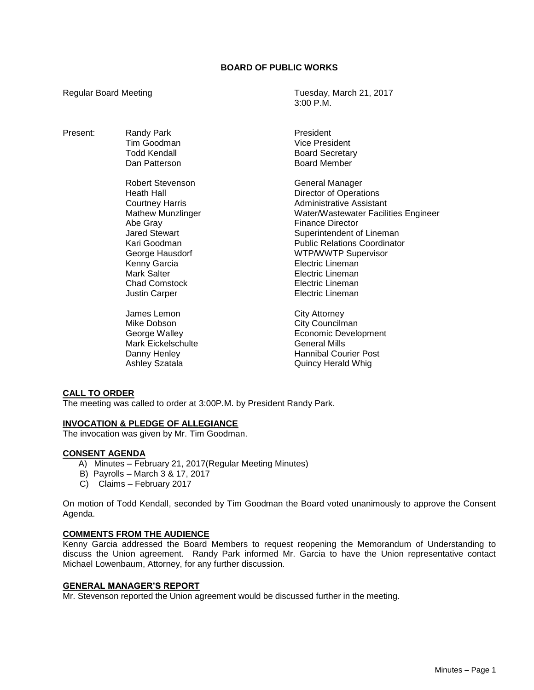# **BOARD OF PUBLIC WORKS**

Present: Randy Park President Tim Goodman Vice President

> Robert Stevenson General Manager Abe Gray **Finance Director** Kenny Garcia **Electric Lineman** Mark Salter **Electric Lineman** Chad Comstock **Electric Lineman Justin Carper Carrier Carper Electric Lineman**

James Lemon City Attorney Mike Dobson City Councilman Mark Eickelschulte General Mills

Regular Board Meeting Tuesday, March 21, 2017 3:00 P.M.

> Board Secretary Dan Patterson **Board Member**

Heath Hall Director of Operations Courtney Harris **Administrative Assistant** Mathew Munzlinger Water/Wastewater Facilities Engineer Jared Stewart **Superintendent of Lineman** Kari Goodman Public Relations Coordinator George Hausdorf **WIP/WWTP** Supervisor

George Walley **Example 20** Economic Development Danny Henley **Hannibal Courier Post** Ashley Szatala **Ashley Szatala** Quincy Herald Whig

# **CALL TO ORDER**

The meeting was called to order at 3:00P.M. by President Randy Park.

# **INVOCATION & PLEDGE OF ALLEGIANCE**

The invocation was given by Mr. Tim Goodman.

# **CONSENT AGENDA**

- A) Minutes February 21, 2017(Regular Meeting Minutes)
- B) Payrolls March 3 & 17, 2017
- C) Claims February 2017

On motion of Todd Kendall, seconded by Tim Goodman the Board voted unanimously to approve the Consent Agenda.

# **COMMENTS FROM THE AUDIENCE**

Kenny Garcia addressed the Board Members to request reopening the Memorandum of Understanding to discuss the Union agreement. Randy Park informed Mr. Garcia to have the Union representative contact Michael Lowenbaum, Attorney, for any further discussion.

#### **GENERAL MANAGER'S REPORT**

Mr. Stevenson reported the Union agreement would be discussed further in the meeting.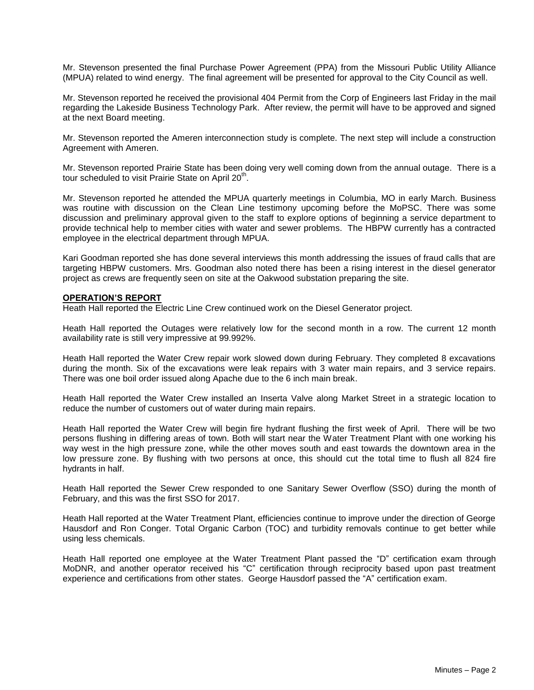Mr. Stevenson presented the final Purchase Power Agreement (PPA) from the Missouri Public Utility Alliance (MPUA) related to wind energy. The final agreement will be presented for approval to the City Council as well.

Mr. Stevenson reported he received the provisional 404 Permit from the Corp of Engineers last Friday in the mail regarding the Lakeside Business Technology Park. After review, the permit will have to be approved and signed at the next Board meeting.

Mr. Stevenson reported the Ameren interconnection study is complete. The next step will include a construction Agreement with Ameren.

Mr. Stevenson reported Prairie State has been doing very well coming down from the annual outage. There is a tour scheduled to visit Prairie State on April 20<sup>th</sup>.

Mr. Stevenson reported he attended the MPUA quarterly meetings in Columbia, MO in early March. Business was routine with discussion on the Clean Line testimony upcoming before the MoPSC. There was some discussion and preliminary approval given to the staff to explore options of beginning a service department to provide technical help to member cities with water and sewer problems. The HBPW currently has a contracted employee in the electrical department through MPUA.

Kari Goodman reported she has done several interviews this month addressing the issues of fraud calls that are targeting HBPW customers. Mrs. Goodman also noted there has been a rising interest in the diesel generator project as crews are frequently seen on site at the Oakwood substation preparing the site.

### **OPERATION'S REPORT**

Heath Hall reported the Electric Line Crew continued work on the Diesel Generator project.

Heath Hall reported the Outages were relatively low for the second month in a row. The current 12 month availability rate is still very impressive at 99.992%.

Heath Hall reported the Water Crew repair work slowed down during February. They completed 8 excavations during the month. Six of the excavations were leak repairs with 3 water main repairs, and 3 service repairs. There was one boil order issued along Apache due to the 6 inch main break.

Heath Hall reported the Water Crew installed an Inserta Valve along Market Street in a strategic location to reduce the number of customers out of water during main repairs.

Heath Hall reported the Water Crew will begin fire hydrant flushing the first week of April. There will be two persons flushing in differing areas of town. Both will start near the Water Treatment Plant with one working his way west in the high pressure zone, while the other moves south and east towards the downtown area in the low pressure zone. By flushing with two persons at once, this should cut the total time to flush all 824 fire hydrants in half.

Heath Hall reported the Sewer Crew responded to one Sanitary Sewer Overflow (SSO) during the month of February, and this was the first SSO for 2017.

Heath Hall reported at the Water Treatment Plant, efficiencies continue to improve under the direction of George Hausdorf and Ron Conger. Total Organic Carbon (TOC) and turbidity removals continue to get better while using less chemicals.

Heath Hall reported one employee at the Water Treatment Plant passed the "D" certification exam through MoDNR, and another operator received his "C" certification through reciprocity based upon past treatment experience and certifications from other states. George Hausdorf passed the "A" certification exam.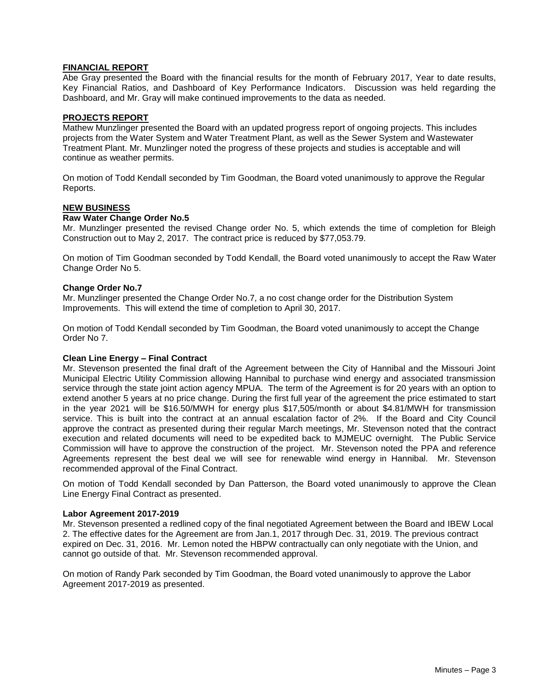### **FINANCIAL REPORT**

Abe Gray presented the Board with the financial results for the month of February 2017, Year to date results, Key Financial Ratios, and Dashboard of Key Performance Indicators. Discussion was held regarding the Dashboard, and Mr. Gray will make continued improvements to the data as needed.

## **PROJECTS REPORT**

Mathew Munzlinger presented the Board with an updated progress report of ongoing projects. This includes projects from the Water System and Water Treatment Plant, as well as the Sewer System and Wastewater Treatment Plant. Mr. Munzlinger noted the progress of these projects and studies is acceptable and will continue as weather permits.

On motion of Todd Kendall seconded by Tim Goodman, the Board voted unanimously to approve the Regular Reports.

#### **NEW BUSINESS**

### **Raw Water Change Order No.5**

Mr. Munzlinger presented the revised Change order No. 5, which extends the time of completion for Bleigh Construction out to May 2, 2017. The contract price is reduced by \$77,053.79.

On motion of Tim Goodman seconded by Todd Kendall, the Board voted unanimously to accept the Raw Water Change Order No 5.

#### **Change Order No.7**

Mr. Munzlinger presented the Change Order No.7, a no cost change order for the Distribution System Improvements. This will extend the time of completion to April 30, 2017.

On motion of Todd Kendall seconded by Tim Goodman, the Board voted unanimously to accept the Change Order No 7.

#### **Clean Line Energy – Final Contract**

Mr. Stevenson presented the final draft of the Agreement between the City of Hannibal and the Missouri Joint Municipal Electric Utility Commission allowing Hannibal to purchase wind energy and associated transmission service through the state joint action agency MPUA. The term of the Agreement is for 20 years with an option to extend another 5 years at no price change. During the first full year of the agreement the price estimated to start in the year 2021 will be \$16.50/MWH for energy plus \$17,505/month or about \$4.81/MWH for transmission service. This is built into the contract at an annual escalation factor of 2%. If the Board and City Council approve the contract as presented during their regular March meetings, Mr. Stevenson noted that the contract execution and related documents will need to be expedited back to MJMEUC overnight. The Public Service Commission will have to approve the construction of the project. Mr. Stevenson noted the PPA and reference Agreements represent the best deal we will see for renewable wind energy in Hannibal. Mr. Stevenson recommended approval of the Final Contract.

On motion of Todd Kendall seconded by Dan Patterson, the Board voted unanimously to approve the Clean Line Energy Final Contract as presented.

#### **Labor Agreement 2017-2019**

Mr. Stevenson presented a redlined copy of the final negotiated Agreement between the Board and IBEW Local 2. The effective dates for the Agreement are from Jan.1, 2017 through Dec. 31, 2019. The previous contract expired on Dec. 31, 2016. Mr. Lemon noted the HBPW contractually can only negotiate with the Union, and cannot go outside of that. Mr. Stevenson recommended approval.

On motion of Randy Park seconded by Tim Goodman, the Board voted unanimously to approve the Labor Agreement 2017-2019 as presented.